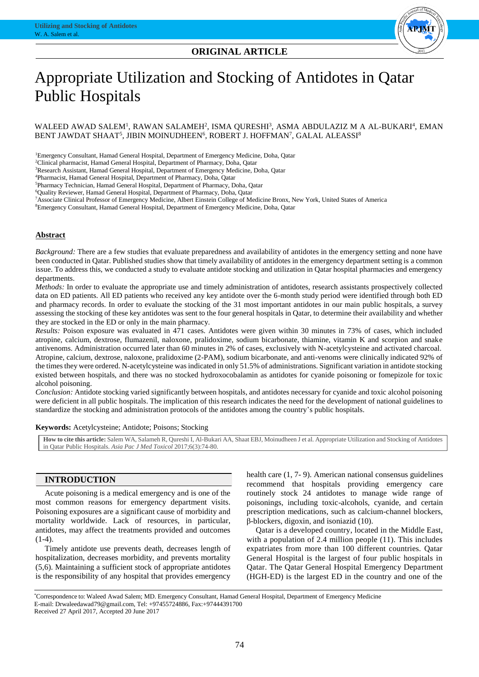



# Appropriate Utilization and Stocking of Antidotes in Qatar Public Hospitals

### WALEED AWAD SALEM<sup>1</sup>, RAWAN SALAMEH<sup>2</sup>, ISMA QURESHI<sup>3</sup>, ASMA ABDULAZIZ M A AL-BUKARI<sup>4</sup>, EMAN BENT JAWDAT SHAAT<sup>5</sup>, JIBIN MOINUDHEEN<sup>6</sup>, ROBERT J. HOFFMAN<sup>7</sup>, GALAL ALEASSI<sup>8</sup>

<sup>1</sup>Emergency Consultant, Hamad General Hospital, Department of Emergency Medicine, Doha, Qatar

<sup>2</sup>Clinical pharmacist, Hamad General Hospital, Department of Pharmacy, Doha, Qatar

<sup>3</sup>Research Assistant, Hamad General Hospital, Department of Emergency Medicine, Doha, Qatar

<sup>4</sup>Pharmacist, Hamad General Hospital, Department of Pharmacy, Doha, Qatar

<sup>5</sup>Pharmacy Technician, Hamad General Hospital, Department of Pharmacy, Doha, Qatar

<sup>6</sup>Quality Reviewer, Hamad General Hospital, Department of Pharmacy, Doha, Qatar

<sup>7</sup>Associate Clinical Professor of Emergency Medicine, Albert Einstein College of Medicine Bronx, New York, United States of America

<sup>8</sup>Emergency Consultant, Hamad General Hospital, Department of Emergency Medicine, Doha, Qatar

#### **Abstract**

*Background:* There are a few studies that evaluate preparedness and availability of antidotes in the emergency setting and none have been conducted in Qatar. Published studies show that timely availability of antidotes in the emergency department setting is a common issue. To address this, we conducted a study to evaluate antidote stocking and utilization in Qatar hospital pharmacies and emergency departments.

*Methods:* In order to evaluate the appropriate use and timely administration of antidotes, research assistants prospectively collected data on ED patients. All ED patients who received any key antidote over the 6-month study period were identified through both ED and pharmacy records. In order to evaluate the stocking of the 31 most important antidotes in our main public hospitals, a survey assessing the stocking of these key antidotes was sent to the four general hospitals in Qatar, to determine their availability and whether they are stocked in the ED or only in the main pharmacy.

*Results:* Poison exposure was evaluated in 471 cases. Antidotes were given within 30 minutes in 73% of cases, which included atropine, calcium, dextrose, flumazenil, naloxone, pralidoxime, sodium bicarbonate, thiamine, vitamin K and scorpion and snake antivenoms. Administration occurred later than 60 minutes in 2% of cases, exclusively with N-acetylcysteine and activated charcoal. Atropine, calcium, dextrose, naloxone, pralidoxime (2-PAM), sodium bicarbonate, and anti-venoms were clinically indicated 92% of the times they were ordered. N-acetylcysteine was indicated in only 51.5% of administrations. Significant variation in antidote stocking existed between hospitals, and there was no stocked hydroxocobalamin as antidotes for cyanide poisoning or fomepizole for toxic alcohol poisoning.

*Conclusion:* Antidote stocking varied significantly between hospitals, and antidotes necessary for cyanide and toxic alcohol poisoning were deficient in all public hospitals. The implication of this research indicates the need for the development of national guidelines to standardize the stocking and administration protocols of the antidotes among the country's public hospitals.

#### **Keywords:** Acetylcysteine; Antidote; Poisons; Stocking

**How to cite this article:** Salem WA, Salameh R, Qureshi I, Al-Bukari AA, Shaat EBJ, Moinudheen J et al. Appropriate Utilization and Stocking of Antidotes in Qatar Public Hospitals. *Asia Pac J Med Toxicol* 2017;6(3):74-80.

## **INTRODUCTION**

Acute poisoning is a medical emergency and is one of the most common reasons for emergency department visits. Poisoning exposures are a significant cause of morbidity and mortality worldwide. Lack of resources, in particular, antidotes, may affect the treatments provided and outcomes  $(1-4)$ .

Timely antidote use prevents death, decreases length of hospitalization, decreases morbidity, and prevents mortality (5,6). Maintaining a sufficient stock of appropriate antidotes is the responsibility of any hospital that provides emergency health care (1, 7- 9). American national consensus guidelines recommend that hospitals providing emergency care routinely stock 24 antidotes to manage wide range of poisonings, including toxic-alcohols, cyanide, and certain prescription medications, such as calcium-channel blockers, β-blockers, digoxin, and isoniazid (10).

Qatar is a developed country, located in the Middle East, with a population of 2.4 million people (11). This includes expatriates from more than 100 different countries. Qatar General Hospital is the largest of four public hospitals in Qatar. The Qatar General Hospital Emergency Department (HGH-ED) is the largest ED in the country and one of the

 $\mathcal{L}=\mathcal{L}^{\text{max}}$ 

<sup>\*</sup>Correspondence to: Waleed Awad Salem; MD. Emergency Consultant, Hamad General Hospital, Department of Emergency Medicine E-mail: Drwaleedawad79@gmail.com, Tel: +97455724886, Fax:+97444391700 Received 27 April 2017, Accepted 20 June 2017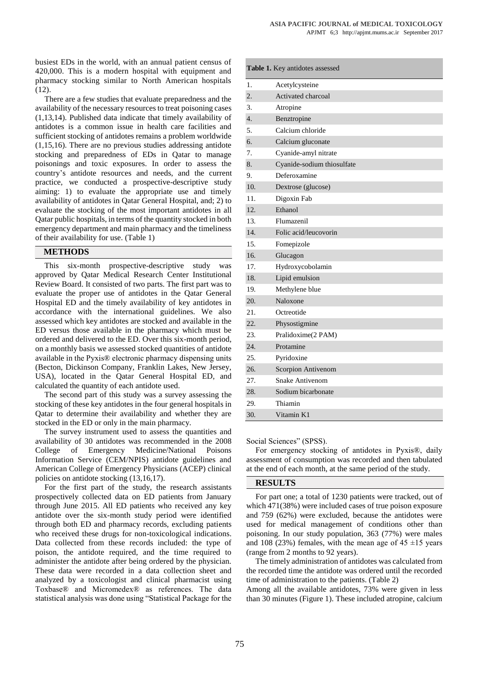busiest EDs in the world, with an annual patient census of 420,000. This is a modern hospital with equipment and pharmacy stocking similar to North American hospitals (12).

There are a few studies that evaluate preparedness and the availability of the necessary resources to treat poisoning cases (1,13,14). Published data indicate that timely availability of antidotes is a common issue in health care facilities and sufficient stocking of antidotes remains a problem worldwide (1,15,16). There are no previous studies addressing antidote stocking and preparedness of EDs in Qatar to manage poisonings and toxic exposures. In order to assess the country's antidote resources and needs, and the current practice, we conducted a prospective-descriptive study aiming: 1) to evaluate the appropriate use and timely availability of antidotes in Qatar General Hospital, and; 2) to evaluate the stocking of the most important antidotes in all Qatar public hospitals, in terms of the quantity stocked in both emergency department and main pharmacy and the timeliness of their availability for use. (Table 1)

#### **METHODS**

This six-month prospective-descriptive study was approved by Qatar Medical Research Center Institutional Review Board. It consisted of two parts. The first part was to evaluate the proper use of antidotes in the Qatar General Hospital ED and the timely availability of key antidotes in accordance with the international guidelines. We also assessed which key antidotes are stocked and available in the ED versus those available in the pharmacy which must be ordered and delivered to the ED. Over this six-month period, on a monthly basis we assessed stocked quantities of antidote available in the Pyxis® electronic pharmacy dispensing units (Becton, Dickinson Company, Franklin Lakes, New Jersey, USA), located in the Qatar General Hospital ED, and calculated the quantity of each antidote used.

The second part of this study was a survey assessing the stocking of these key antidotes in the four general hospitals in Qatar to determine their availability and whether they are stocked in the ED or only in the main pharmacy.

The survey instrument used to assess the quantities and availability of 30 antidotes was recommended in the 2008 College of Emergency Medicine/National Poisons Information Service (CEM/NPIS) antidote guidelines and American College of Emergency Physicians (ACEP) clinical policies on antidote stocking (13,16,17).

For the first part of the study, the research assistants prospectively collected data on ED patients from January through June 2015. All ED patients who received any key antidote over the six-month study period were identified through both ED and pharmacy records, excluding patients who received these drugs for non-toxicological indications. Data collected from these records included: the type of poison, the antidote required, and the time required to administer the antidote after being ordered by the physician. These data were recorded in a data collection sheet and analyzed by a toxicologist and clinical pharmacist using Toxbase® and Micromedex® as references. The data statistical analysis was done using "Statistical Package for the

| Table 1. Key antidotes assessed |                            |  |  |  |  |
|---------------------------------|----------------------------|--|--|--|--|
| 1.                              | Acetylcysteine             |  |  |  |  |
| $\overline{2}$ .                | Activated charcoal         |  |  |  |  |
| 3.                              | Atropine                   |  |  |  |  |
| 4.                              | Benztropine                |  |  |  |  |
| 5.                              | Calcium chloride           |  |  |  |  |
| 6.                              | Calcium gluconate          |  |  |  |  |
| 7.                              | Cyanide-amyl nitrate       |  |  |  |  |
| 8.                              | Cyanide-sodium thiosulfate |  |  |  |  |
| 9.                              | Deferoxamine               |  |  |  |  |
| 10.                             | Dextrose (glucose)         |  |  |  |  |
| 11.                             | Digoxin Fab                |  |  |  |  |
| 12.                             | Ethanol                    |  |  |  |  |
| 13.                             | Flumazenil                 |  |  |  |  |
| 14.                             | Folic acid/leucovorin      |  |  |  |  |
| 15.                             | Fomepizole                 |  |  |  |  |
| 16.                             | Glucagon                   |  |  |  |  |
| 17.                             | Hydroxycobolamin           |  |  |  |  |
| 18.                             | Lipid emulsion             |  |  |  |  |
| 19.                             | Methylene blue             |  |  |  |  |
| 20.                             | Naloxone                   |  |  |  |  |
| 21.                             | Octreotide                 |  |  |  |  |
| 22.                             | Physostigmine              |  |  |  |  |
| 23.                             | Pralidoxime(2 PAM)         |  |  |  |  |
| 24.                             | Protamine                  |  |  |  |  |
| 25.                             | Pyridoxine                 |  |  |  |  |
| 26.                             | Scorpion Antivenom         |  |  |  |  |
| 27.                             | Snake Antivenom            |  |  |  |  |
| 28.                             | Sodium bicarbonate         |  |  |  |  |
| 29.                             | Thiamin                    |  |  |  |  |
| 30.                             | Vitamin K1                 |  |  |  |  |

Social Sciences" (SPSS).

For emergency stocking of antidotes in Pyxis®, daily assessment of consumption was recorded and then tabulated at the end of each month, at the same period of the study.

#### **RESULTS**

For part one; a total of 1230 patients were tracked, out of which 471(38%) were included cases of true poison exposure and 759 (62%) were excluded, because the antidotes were used for medical management of conditions other than poisoning. In our study population, 363 (77%) were males and 108 (23%) females, with the mean age of  $45 \pm 15$  years (range from 2 months to 92 years).

The timely administration of antidotes was calculated from the recorded time the antidote was ordered until the recorded time of administration to the patients. (Table 2)

Among all the available antidotes, 73% were given in less than 30 minutes (Figure 1). These included atropine, calcium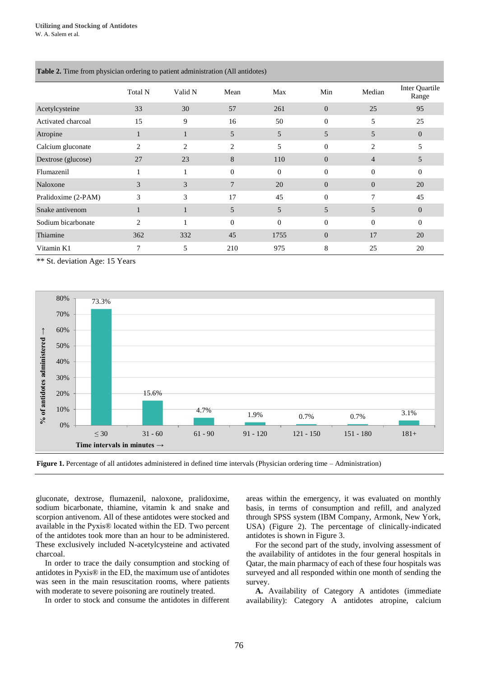|                     | Total N | Valid N        | Mean           | Max      | Min            | Median         | Inter Quartile<br>Range |
|---------------------|---------|----------------|----------------|----------|----------------|----------------|-------------------------|
| Acetylcysteine      | 33      | 30             | 57             | 261      | $\overline{0}$ | 25             | 95                      |
| Activated charcoal  | 15      | 9              | 16             | 50       | $\mathbf{0}$   | 5              | 25                      |
| Atropine            | н       | 1              | 5              | 5        | 5              | 5              | $\theta$                |
| Calcium gluconate   | 2       | $\overline{2}$ | $\overline{c}$ | 5        | $\Omega$       | 2              | 5                       |
| Dextrose (glucose)  | 27      | 23             | 8              | 110      | $\overline{0}$ | $\overline{4}$ | 5                       |
| Flumazenil          |         |                | $\mathbf{0}$   | $\Omega$ | $\Omega$       | $\Omega$       | $\Omega$                |
| Naloxone            | 3       | 3              | $\overline{7}$ | 20       | $\overline{0}$ | $\theta$       | 20                      |
| Pralidoxime (2-PAM) | 3       | 3              | 17             | 45       | $\Omega$       | 7              | 45                      |
| Snake antivenom     |         | 1              | 5              | 5        | 5              | 5              | $\overline{0}$          |
| Sodium bicarbonate  | 2       | 1              | $\theta$       | $\Omega$ | $\Omega$       | $\Omega$       | $\Omega$                |
| Thiamine            | 362     | 332            | 45             | 1755     | $\mathbf{0}$   | 17             | 20                      |
| Vitamin K1          | 7       | 5              | 210            | 975      | 8              | 25             | 20                      |
|                     |         |                |                |          |                |                |                         |

**Table 2.** Time from physician ordering to patient administration (All antidotes)

\*\* St. deviation Age: 15 Years



**Figure 1.** Percentage of all antidotes administered in defined time intervals (Physician ordering time – Administration)

gluconate, dextrose, flumazenil, naloxone, pralidoxime, sodium bicarbonate, thiamine, vitamin k and snake and scorpion antivenom. All of these antidotes were stocked and available in the Pyxis® located within the ED. Two percent of the antidotes took more than an hour to be administered. These exclusively included N-acetylcysteine and activated charcoal.

In order to trace the daily consumption and stocking of antidotes in Pyxis® in the ED, the maximum use of antidotes was seen in the main resuscitation rooms, where patients with moderate to severe poisoning are routinely treated.

In order to stock and consume the antidotes in different

areas within the emergency, it was evaluated on monthly basis, in terms of consumption and refill, and analyzed through SPSS system (IBM Company, Armonk, New York, USA) (Figure 2). The percentage of clinically-indicated antidotes is shown in Figure 3.

For the second part of the study, involving assessment of the availability of antidotes in the four general hospitals in Qatar, the main pharmacy of each of these four hospitals was surveyed and all responded within one month of sending the survey.

**A.** Availability of Category A antidotes (immediate availability): Category A antidotes atropine, calcium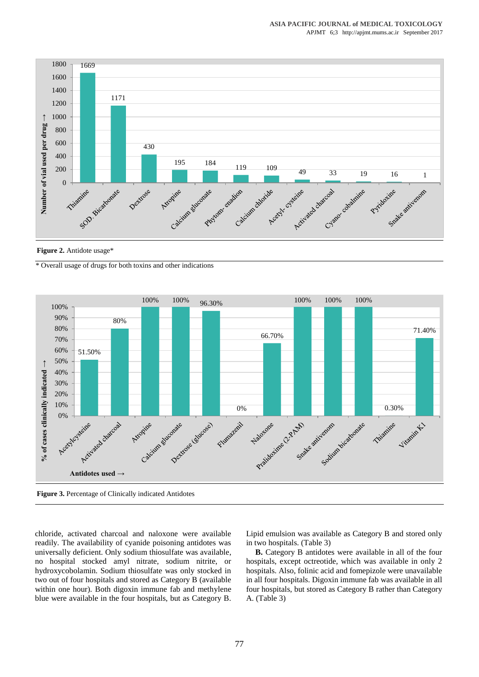

**Figure 2.** Antidote usage\*

\* Overall usage of drugs for both toxins and other indications



**Figure 3.** Percentage of Clinically indicated Antidotes

chloride, activated charcoal and naloxone were available readily. The availability of cyanide poisoning antidotes was universally deficient. Only sodium thiosulfate was available, no hospital stocked amyl nitrate, sodium nitrite, or hydroxycobolamin. Sodium thiosulfate was only stocked in two out of four hospitals and stored as Category B (available within one hour). Both digoxin immune fab and methylene blue were available in the four hospitals, but as Category B. Lipid emulsion was available as Category B and stored only in two hospitals. (Table 3)

**B.** Category B antidotes were available in all of the four hospitals, except octreotide, which was available in only 2 hospitals. Also, folinic acid and fomepizole were unavailable in all four hospitals. Digoxin immune fab was available in all four hospitals, but stored as Category B rather than Category A. (Table 3)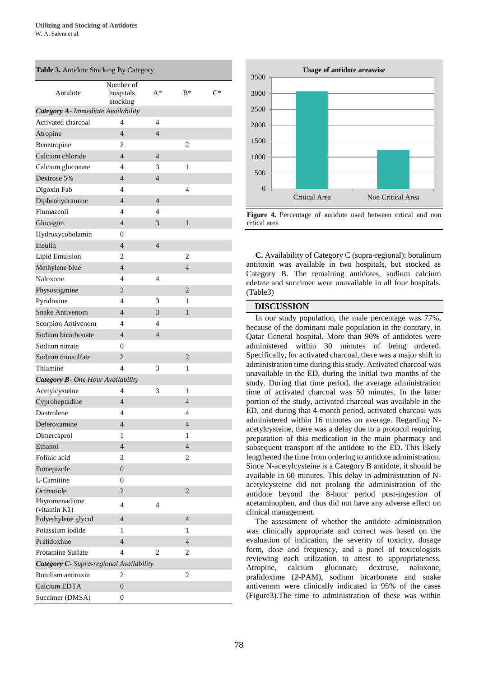| Table 3. Antidote Stocking By Category   |                                    |                |                |       |  |  |  |  |  |  |  |
|------------------------------------------|------------------------------------|----------------|----------------|-------|--|--|--|--|--|--|--|
| Antidote                                 | Number of<br>hospitals<br>stocking | A*             | $B^*$          | $C^*$ |  |  |  |  |  |  |  |
| Category A- Immediate Availability       |                                    |                |                |       |  |  |  |  |  |  |  |
| Activated charcoal                       | 4                                  | 4              |                |       |  |  |  |  |  |  |  |
| Atropine                                 | $\overline{4}$                     | $\overline{4}$ |                |       |  |  |  |  |  |  |  |
| Benztropine                              | 2                                  |                | 2              |       |  |  |  |  |  |  |  |
| Calcium chloride                         | $\overline{\mathcal{L}}$           | $\overline{4}$ |                |       |  |  |  |  |  |  |  |
| Calcium gluconate                        | 4                                  | 3              | 1              |       |  |  |  |  |  |  |  |
| Dextrose 5%                              | $\overline{4}$                     | $\overline{4}$ |                |       |  |  |  |  |  |  |  |
| Digoxin Fab                              | 4                                  |                | 4              |       |  |  |  |  |  |  |  |
| Diphenhydramine                          | $\overline{4}$                     | $\overline{4}$ |                |       |  |  |  |  |  |  |  |
| Flumazenil                               | 4                                  | 4              |                |       |  |  |  |  |  |  |  |
| Glucagon                                 | $\overline{4}$                     | 3              | 1              |       |  |  |  |  |  |  |  |
| Hydroxycobolamin                         | 0                                  |                |                |       |  |  |  |  |  |  |  |
| Insulin                                  | $\overline{4}$                     | $\overline{4}$ |                |       |  |  |  |  |  |  |  |
| Lipid Emulsion                           | 2                                  |                | 2              |       |  |  |  |  |  |  |  |
| Methylene blue                           | $\overline{4}$                     |                | $\overline{4}$ |       |  |  |  |  |  |  |  |
| Naloxone                                 | 4                                  | 4              |                |       |  |  |  |  |  |  |  |
| Physostigmine                            | $\overline{2}$                     |                | $\overline{2}$ |       |  |  |  |  |  |  |  |
| Pyridoxine                               | 4                                  | 3              | 1              |       |  |  |  |  |  |  |  |
| <b>Snake Antivenom</b>                   | 4                                  | 3              | 1              |       |  |  |  |  |  |  |  |
| Scorpion Antivenom                       | 4                                  | 4              |                |       |  |  |  |  |  |  |  |
| Sodium bicarbonate                       | 4                                  | 4              |                |       |  |  |  |  |  |  |  |
| Sodium nitrate                           | $\Omega$                           |                |                |       |  |  |  |  |  |  |  |
| Sodium thiosulfate                       | $\overline{2}$                     |                | 2              |       |  |  |  |  |  |  |  |
| Thiamine                                 | 4                                  | 3              | 1              |       |  |  |  |  |  |  |  |
| <b>Category B-</b> One Hour Availability |                                    |                |                |       |  |  |  |  |  |  |  |
| Acetylcysteine                           | 4                                  | 3              | 1              |       |  |  |  |  |  |  |  |
| Cyproheptadine                           | $\overline{\mathcal{L}}$           |                | 4              |       |  |  |  |  |  |  |  |
| Dantrolene                               | 4                                  |                | 4              |       |  |  |  |  |  |  |  |
| Deferoxamine                             | 4                                  |                | 4              |       |  |  |  |  |  |  |  |
| Dimercaprol                              | 1                                  |                | 1              |       |  |  |  |  |  |  |  |
| Ethanol                                  | $\overline{4}$                     |                | $\overline{4}$ |       |  |  |  |  |  |  |  |
| Folinic acid                             | $\overline{c}$                     |                | $\overline{c}$ |       |  |  |  |  |  |  |  |
| Fomepizole                               | $\overline{0}$                     |                |                |       |  |  |  |  |  |  |  |
| L-Carnitine                              | 0                                  |                |                |       |  |  |  |  |  |  |  |
| Octreotide                               | $\overline{2}$                     |                | $\overline{2}$ |       |  |  |  |  |  |  |  |
| Phytomenadione<br>(vitamin K1)           | $\overline{4}$                     | $\overline{4}$ |                |       |  |  |  |  |  |  |  |
| Polyethylene glycol                      | $\overline{4}$                     |                | $\overline{4}$ |       |  |  |  |  |  |  |  |
| Potassium iodide                         | 1                                  |                | 1              |       |  |  |  |  |  |  |  |
| Pralidoxime                              | $\overline{4}$                     |                | 4              |       |  |  |  |  |  |  |  |
| Protamine Sulfate                        | 4                                  | $\overline{c}$ | 2              |       |  |  |  |  |  |  |  |
| Category C- Supra-regional Availability  |                                    |                |                |       |  |  |  |  |  |  |  |
| Botulism antitoxin                       | 2                                  |                | 2              |       |  |  |  |  |  |  |  |
| Calcium EDTA                             | $\overline{0}$                     |                |                |       |  |  |  |  |  |  |  |
| Succimer (DMSA)                          | $\overline{0}$                     |                |                |       |  |  |  |  |  |  |  |



**Figure 4.** Percentage of antidote used between crtical and non crtical area

**C.** Availability of Category C (supra-regional): botulinum antitoxin was available in two hospitals, but stocked as Category B. The remaining antidotes, sodium calcium edetate and succimer were unavailable in all four hospitals. (Table3)

#### **DISCUSSION**

In our study population, the male percentage was 77%, because of the dominant male population in the contrary, in Qatar General hospital. More than 90% of antidotes were administered within 30 minutes of being ordered. Specifically, for activated charcoal, there was a major shift in administration time during this study. Activated charcoal was unavailable in the ED, during the initial two months of the study. During that time period, the average administration time of activated charcoal was 50 minutes. In the latter portion of the study, activated charcoal was available in the ED, and during that 4-month period, activated charcoal was administered within 16 minutes on average. Regarding Nacetylcysteine, there was a delay due to a protocol requiring preparation of this medication in the main pharmacy and subsequent transport of the antidote to the ED. This likely lengthened the time from ordering to antidote administration. Since N-acetylcysteine is a Category B antidote, it should be available in 60 minutes. This delay in administration of Nacetylcysteine did not prolong the administration of the antidote beyond the 8-hour period post-ingestion of acetaminophen, and thus did not have any adverse effect on clinical management.

The assessment of whether the antidote administration was clinically appropriate and correct was based on the evaluation of indication, the severity of toxicity, dosage form, dose and frequency, and a panel of toxicologists reviewing each utilization to attest to appropriateness. Atropine, calcium gluconate, dextrose, naloxone, pralidoxime (2-PAM), sodium bicarbonate and snake antivenom were clinically indicated in 95% of the cases (Figure3).The time to administration of these was within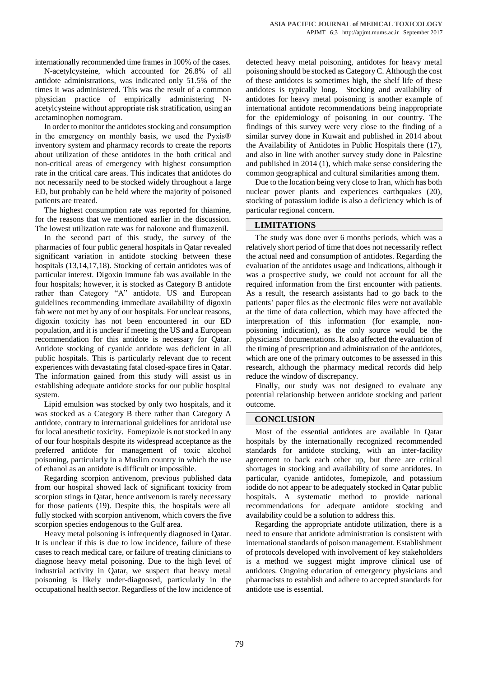internationally recommended time frames in 100% of the cases.

N-acetylcysteine, which accounted for 26.8% of all antidote administrations, was indicated only 51.5% of the times it was administered. This was the result of a common physician practice of empirically administering Nacetylcysteine without appropriate risk stratification, using an acetaminophen nomogram.

In order to monitor the antidotes stocking and consumption in the emergency on monthly basis, we used the Pyxis® inventory system and pharmacy records to create the reports about utilization of these antidotes in the both critical and non-critical areas of emergency with highest consumption rate in the critical care areas. This indicates that antidotes do not necessarily need to be stocked widely throughout a large ED, but probably can be held where the majority of poisoned patients are treated.

The highest consumption rate was reported for thiamine, for the reasons that we mentioned earlier in the discussion. The lowest utilization rate was for naloxone and flumazenil.

In the second part of this study, the survey of the pharmacies of four public general hospitals in Qatar revealed significant variation in antidote stocking between these hospitals (13,14,17,18). Stocking of certain antidotes was of particular interest. Digoxin immune fab was available in the four hospitals; however, it is stocked as Category B antidote rather than Category "A" antidote. US and European guidelines recommending immediate availability of digoxin fab were not met by any of our hospitals. For unclear reasons, digoxin toxicity has not been encountered in our ED population, and it is unclear if meeting the US and a European recommendation for this antidote is necessary for Qatar. Antidote stocking of cyanide antidote was deficient in all public hospitals. This is particularly relevant due to recent experiences with devastating fatal closed-space fires in Qatar. The information gained from this study will assist us in establishing adequate antidote stocks for our public hospital system.

Lipid emulsion was stocked by only two hospitals, and it was stocked as a Category B there rather than Category A antidote, contrary to international guidelines for antidotal use for local anesthetic toxicity. Fomepizole is not stocked in any of our four hospitals despite its widespread acceptance as the preferred antidote for management of toxic alcohol poisoning, particularly in a Muslim country in which the use of ethanol as an antidote is difficult or impossible.

Regarding scorpion antivenom, previous published data from our hospital showed lack of significant toxicity from scorpion stings in Qatar, hence antivenom is rarely necessary for those patients (19). Despite this, the hospitals were all fully stocked with scorpion antivenom, which covers the five scorpion species endogenous to the Gulf area.

Heavy metal poisoning is infrequently diagnosed in Qatar. It is unclear if this is due to low incidence, failure of these cases to reach medical care, or failure of treating clinicians to diagnose heavy metal poisoning. Due to the high level of industrial activity in Qatar, we suspect that heavy metal poisoning is likely under-diagnosed, particularly in the occupational health sector. Regardless of the low incidence of detected heavy metal poisoning, antidotes for heavy metal poisoning should be stocked as Category C. Although the cost of these antidotes is sometimes high, the shelf life of these antidotes is typically long. Stocking and availability of antidotes for heavy metal poisoning is another example of international antidote recommendations being inappropriate for the epidemiology of poisoning in our country. The findings of this survey were very close to the finding of a similar survey done in Kuwait and published in 2014 about the Availability of Antidotes in Public Hospitals there (17), and also in line with another survey study done in Palestine and published in 2014 (1), which make sense considering the common geographical and cultural similarities among them.

Due to the location being very close to Iran, which has both nuclear power plants and experiences earthquakes (20), stocking of potassium iodide is also a deficiency which is of particular regional concern.

#### **LIMITATIONS**

The study was done over 6 months periods, which was a relatively short period of time that does not necessarily reflect the actual need and consumption of antidotes. Regarding the evaluation of the antidotes usage and indications, although it was a prospective study, we could not account for all the required information from the first encounter with patients. As a result, the research assistants had to go back to the patients' paper files as the electronic files were not available at the time of data collection, which may have affected the interpretation of this information (for example, nonpoisoning indication), as the only source would be the physicians' documentations. It also affected the evaluation of the timing of prescription and administration of the antidotes, which are one of the primary outcomes to be assessed in this research, although the pharmacy medical records did help reduce the window of discrepancy.

Finally, our study was not designed to evaluate any potential relationship between antidote stocking and patient outcome.

#### **CONCLUSION**

Most of the essential antidotes are available in Qatar hospitals by the internationally recognized recommended standards for antidote stocking, with an inter-facility agreement to back each other up, but there are critical shortages in stocking and availability of some antidotes. In particular, cyanide antidotes, fomepizole, and potassium iodide do not appear to be adequately stocked in Qatar public hospitals. A systematic method to provide national recommendations for adequate antidote stocking and availability could be a solution to address this.

Regarding the appropriate antidote utilization, there is a need to ensure that antidote administration is consistent with international standards of poison management. Establishment of protocols developed with involvement of key stakeholders is a method we suggest might improve clinical use of antidotes. Ongoing education of emergency physicians and pharmacists to establish and adhere to accepted standards for antidote use is essential.